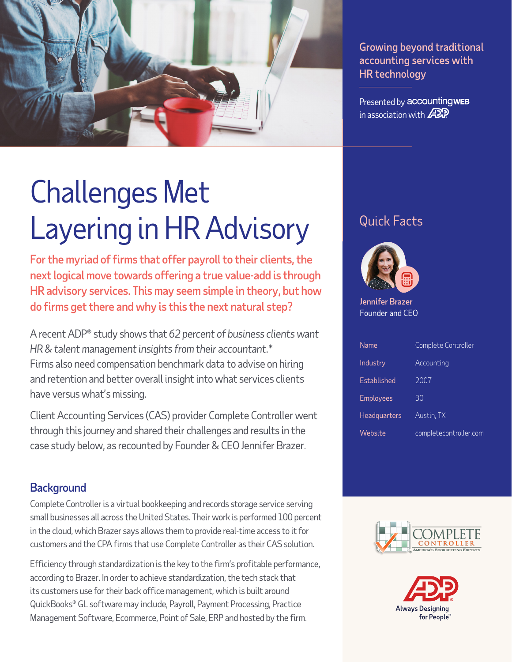

Growing beyond traditional accounting services with HR technology

Presented by accountingwEB in association with  $\cancel{\mathcal{A}}\mathfrak{D}\mathfrak{P}$ 

# Challenges Met Layering in HR Advisory

For the myriad of firms that offer payroll to their clients, the next logical move towards offering a true value-add is through HR advisory services. This may seem simple in theory, but how do firms get there and why is this the next natural step?

A recent ADP® study shows that *62 percent of business clients want HR & talent management insights from their accountant*.\* Firms also need compensation benchmark data to advise on hiring and retention and better overall insight into what services clients have versus what's missing.

Client Accounting Services (CAS) provider Complete Controller went through this journey and shared their challenges and results in the case study below, as recounted by Founder & CEO Jennifer Brazer.

#### **Background**

Complete Controller is a virtual bookkeeping and records storage service serving small businesses all across the United States. Their work is performed 100 percent in the cloud, which Brazer says allows them to provide real-time access to it for customers and the CPA firms that use Complete Controller as their CAS solution.

Efficiency through standardization is the key to the firm's profitable performance, according to Brazer. In order to achieve standardization, the tech stack that its customers use for their back office management, which is built around QuickBooks® GL software may include, Payroll, Payment Processing, Practice Management Software, Ecommerce, Point of Sale, ERP and hosted by the firm.

## Quick Facts



Jennifer Brazer Founder and CEO

| Name             | Complete Controller    |
|------------------|------------------------|
| Industry         | Accounting             |
| Established      | 2007                   |
| <b>Employees</b> | 30                     |
| Headquarters     | Austin, TX             |
| Website          | completecontroller.com |



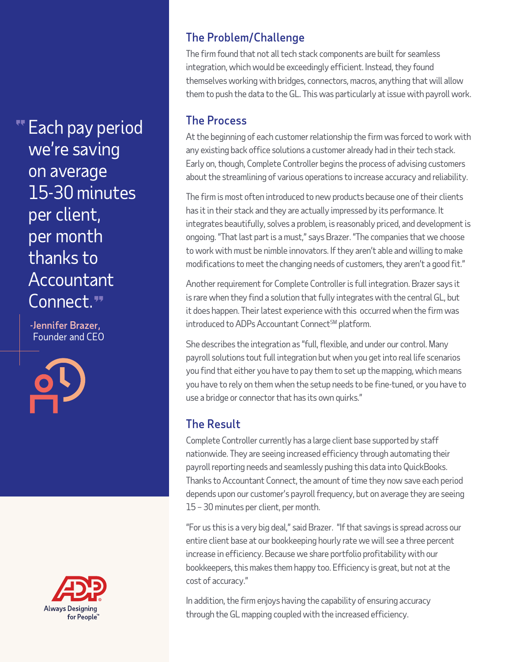Each pay period we're saving on average 15-30 minutes per client, per month thanks to Accountant Connect."

-Jennifer Brazer, Founder and CEO



#### The Problem/Challenge

The firm found that not all tech stack components are built for seamless integration, which would be exceedingly efficient. Instead, they found themselves working with bridges, connectors, macros, anything that will allow them to push the data to the GL. This was particularly at issue with payroll work.

#### The Process

At the beginning of each customer relationship the firm was forced to work with any existing back office solutions a customer already had in their tech stack. Early on, though, Complete Controller begins the process of advising customers about the streamlining of various operations to increase accuracy and reliability.

The firm is most often introduced to new products because one of their clients has it in their stack and they are actually impressed by its performance. It integrates beautifully, solves a problem, is reasonably priced, and development is ongoing. "That last part is a must," says Brazer. "The companies that we choose to work with must be nimble innovators. If they aren't able and willing to make modifications to meet the changing needs of customers, they aren't a good fit."

Another requirement for Complete Controller is full integration. Brazer says it is rare when they find a solution that fully integrates with the central GL, but it does happen. Their latest experience with this occurred when the firm was introduced to ADPs Accountant Connect<sup>SM</sup> platform.

She describes the integration as "full, flexible, and under our control. Many payroll solutions tout full integration but when you get into real life scenarios you find that either you have to pay them to set up the mapping, which means you have to rely on them when the setup needs to be fine-tuned, or you have to use a bridge or connector that has its own quirks."

### The Result

Complete Controller currently has a large client base supported by staff nationwide. They are seeing increased efficiency through automating their payroll reporting needs and seamlessly pushing this data into QuickBooks. Thanks to Accountant Connect, the amount of time they now save each period depends upon our customer's payroll frequency, but on average they are seeing 15 – 30 minutes per client, per month.

"For us this is a very big deal," said Brazer. "If that savings is spread across our entire client base at our bookkeeping hourly rate we will see a three percent increase in efficiency. Because we share portfolio profitability with our bookkeepers, this makes them happy too. Efficiency is great, but not at the cost of accuracy."

In addition, the firm enjoys having the capability of ensuring accuracy through the GL mapping coupled with the increased efficiency.